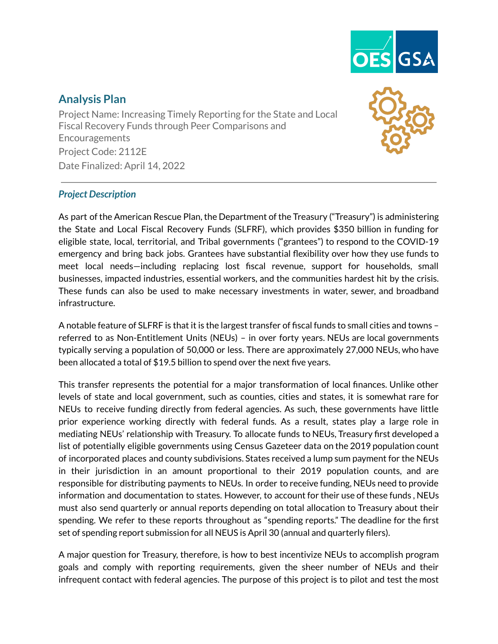

# **Analysis Plan**

Project Name: Increasing Timely Reporting for the State and Local Fiscal Recovery Funds through Peer Comparisons and Encouragements Project Code: 2112E Date Finalized: April 14, 2022

# *Project Description*

As part of the American Rescue Plan, the Department of the Treasury ("Treasury") is administering the State and Local Fiscal Recovery Funds (SLFRF), which provides \$350 billion in funding for eligible state, local, territorial, and Tribal governments ("grantees") to respond to the COVID-19 emergency and bring back jobs. Grantees have substantial flexibility over how they use funds to meet local needs—including replacing lost fiscal revenue, support for households, small businesses, impacted industries, essential workers, and the communities hardest hit by the crisis. These funds can also be used to make necessary investments in water, sewer, and broadband infrastructure.

A notable feature of SLFRF is that it is the largest transfer of fiscal funds to small cities and towns – referred to as Non-Entitlement Units (NEUs) – in over forty years. NEUs are local governments typically serving a population of 50,000 or less. There are approximately 27,000 NEUs, who have been allocated a total of \$19.5 billion to spend over the next five years.

This transfer represents the potential for a major transformation of local finances. Unlike other levels of state and local government, such as counties, cities and states, it is somewhat rare for NEUs to receive funding directly from federal agencies. As such, these governments have little prior experience working directly with federal funds. As a result, states play a large role in mediating NEUs' relationship with Treasury. To allocate funds to NEUs, Treasury first developed a list of potentially eligible governments using Census Gazeteer data on the 2019 population count of incorporated places and county subdivisions. States received a lump sum payment for the NEUs in their jurisdiction in an amount proportional to their 2019 population counts, and are responsible for distributing payments to NEUs. In order to receive funding, NEUs need to provide information and documentation to states. However, to account for their use of these funds , NEUs must also send quarterly or annual reports depending on total allocation to Treasury about their spending. We refer to these reports throughout as "spending reports." The deadline for the first set of spending report submission for all NEUS is April 30 (annual and quarterly filers).

A major question for Treasury, therefore, is how to best incentivize NEUs to accomplish program goals and comply with reporting requirements, given the sheer number of NEUs and their infrequent contact with federal agencies. The purpose of this project is to pilot and test the most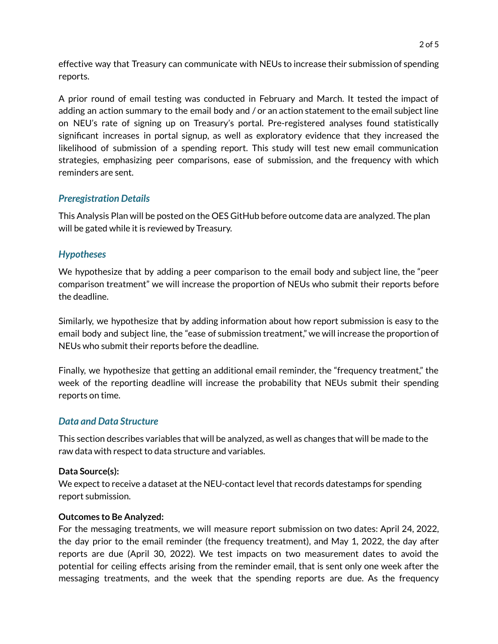effective way that Treasury can communicate with NEUs to increase their submission of spending reports.

A prior round of email testing was conducted in February and March. It tested the impact of adding an action summary to the email body and / or an action statement to the email subject line on NEU's rate of signing up on Treasury's portal. Pre-registered analyses found statistically significant increases in portal signup, as well as exploratory evidence that they increased the likelihood of submission of a spending report. This study will test new email communication strategies, emphasizing peer comparisons, ease of submission, and the frequency with which reminders are sent.

### *Preregistration Details*

This Analysis Plan will be posted on the OES GitHub before outcome data are analyzed. The plan will be gated while it is reviewed by Treasury.

### *Hypotheses*

We hypothesize that by adding a peer comparison to the email body and subject line, the "peer comparison treatment" we will increase the proportion of NEUs who submit their reports before the deadline.

Similarly, we hypothesize that by adding information about how report submission is easy to the email body and subject line, the "ease of submission treatment," we will increase the proportion of NEUs who submit their reports before the deadline.

Finally, we hypothesize that getting an additional email reminder, the "frequency treatment," the week of the reporting deadline will increase the probability that NEUs submit their spending reports on time.

#### *Data and Data Structure*

This section describes variables that will be analyzed, as well as changes that will be made to the raw data with respect to data structure and variables.

#### **Data Source(s):**

We expect to receive a dataset at the NEU-contact level that records datestamps for spending report submission.

#### **Outcomes to Be Analyzed:**

For the messaging treatments, we will measure report submission on two dates: April 24, 2022, the day prior to the email reminder (the frequency treatment), and May 1, 2022, the day after reports are due (April 30, 2022). We test impacts on two measurement dates to avoid the potential for ceiling effects arising from the reminder email, that is sent only one week after the messaging treatments, and the week that the spending reports are due. As the frequency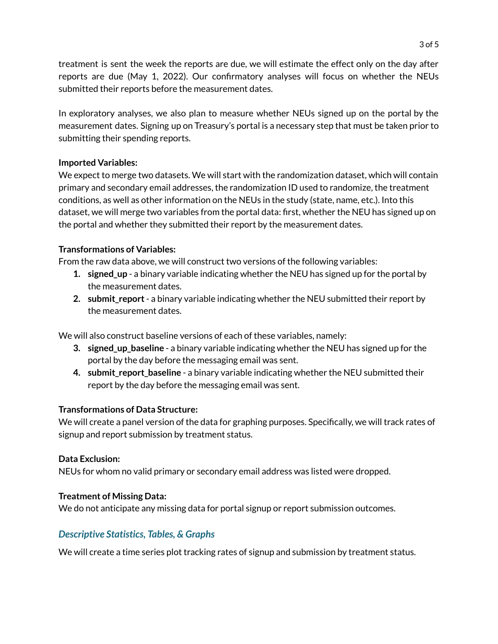treatment is sent the week the reports are due, we will estimate the effect only on the day after reports are due (May 1, 2022). Our confirmatory analyses will focus on whether the NEUs submitted their reports before the measurement dates.

In exploratory analyses, we also plan to measure whether NEUs signed up on the portal by the measurement dates. Signing up on Treasury's portal is a necessary step that must be taken prior to submitting their spending reports.

#### **Imported Variables:**

We expect to merge two datasets. We will start with the randomization dataset, which will contain primary and secondary email addresses, the randomization ID used to randomize, the treatment conditions, as well as other information on the NEUs in the study (state, name, etc.). Into this dataset, we will merge two variables from the portal data: first, whether the NEU has signed up on the portal and whether they submitted their report by the measurement dates.

### **Transformations of Variables:**

From the raw data above, we will construct two versions of the following variables:

- **1. signed\_up** a binary variable indicating whether the NEU has signed up for the portal by the measurement dates.
- **2. submit\_report** a binary variable indicating whether the NEU submitted their report by the measurement dates.

We will also construct baseline versions of each of these variables, namely:

- **3. signed\_up\_baseline** a binary variable indicating whether the NEU has signed up for the portal by the day before the messaging email was sent.
- **4. submit\_report\_baseline** a binary variable indicating whether the NEU submitted their report by the day before the messaging email was sent.

# **Transformations of Data Structure:**

We will create a panel version of the data for graphing purposes. Specifically, we will track rates of signup and report submission by treatment status.

#### **Data Exclusion:**

NEUs for whom no valid primary or secondary email address was listed were dropped.

# **Treatment of Missing Data:**

We do not anticipate any missing data for portal signup or report submission outcomes.

# *Descriptive Statistics, Tables, & Graphs*

We will create a time series plot tracking rates of signup and submission by treatment status.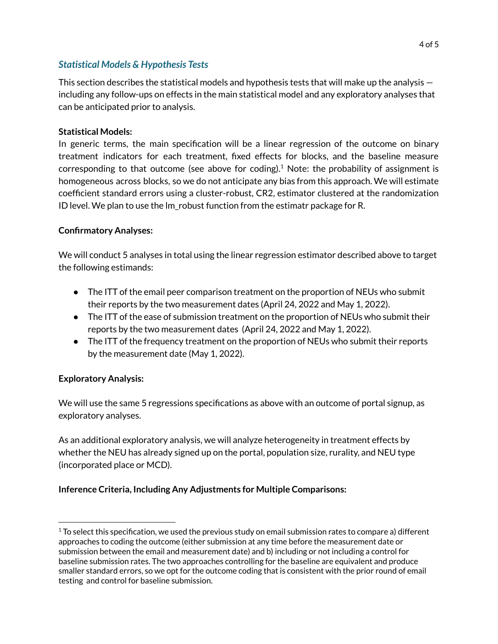### *Statistical Models & Hypothesis Tests*

This section describes the statistical models and hypothesis tests that will make up the analysis  $$ including any follow-ups on effects in the main statistical model and any exploratory analyses that can be anticipated prior to analysis.

### **Statistical Models:**

In generic terms, the main specification will be a linear regression of the outcome on binary treatment indicators for each treatment, fixed effects for blocks, and the baseline measure corresponding to that outcome (see above for coding).<sup>1</sup> Note: the probability of assignment is homogeneous across blocks, so we do not anticipate any bias from this approach. We will estimate coefficient standard errors using a cluster-robust, CR2, estimator clustered at the randomization ID level. We plan to use the lm\_robust function from the estimatr package for R.

### **Confirmatory Analyses:**

We will conduct 5 analyses in total using the linear regression estimator described above to target the following estimands:

- The ITT of the email peer comparison treatment on the proportion of NEUs who submit their reports by the two measurement dates (April 24, 2022 and May 1, 2022).
- The ITT of the ease of submission treatment on the proportion of NEUs who submit their reports by the two measurement dates (April 24, 2022 and May 1, 2022).
- The ITT of the frequency treatment on the proportion of NEUs who submit their reports by the measurement date (May 1, 2022).

# **Exploratory Analysis:**

We will use the same 5 regressions specifications as above with an outcome of portal signup, as exploratory analyses.

As an additional exploratory analysis, we will analyze heterogeneity in treatment effects by whether the NEU has already signed up on the portal, population size, rurality, and NEU type (incorporated place or MCD).

# **Inference Criteria, Including Any Adjustments for Multiple Comparisons:**

 $1$  To select this specification, we used the previous study on email submission rates to compare a) different approaches to coding the outcome (either submission at any time before the measurement date or submission between the email and measurement date) and b) including or not including a control for baseline submission rates. The two approaches controlling for the baseline are equivalent and produce smaller standard errors, so we opt for the outcome coding that is consistent with the prior round of email testing and control for baseline submission.